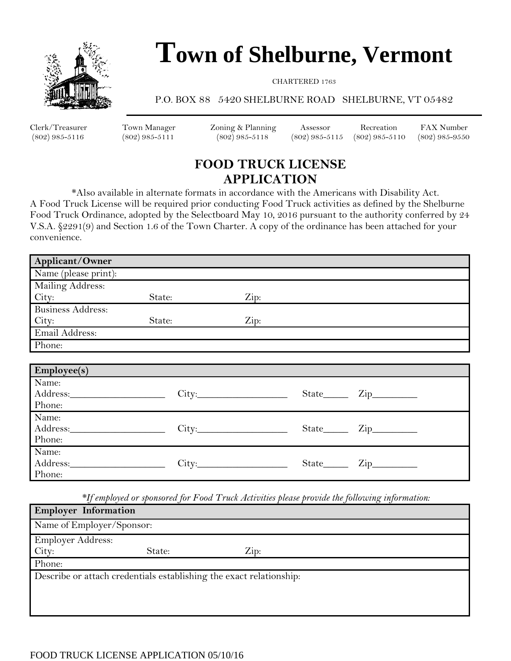

# **Town of Shelburne, Vermont**

CHARTERED 1763

#### P.O. BOX 88 5420 SHELBURNE ROAD SHELBURNE, VT 05482

Clerk/Treasurer Town Manager Zoning & Planning Assessor Recreation FAX Number (802) 985-5116 (802) 985-5111 (802) 985-5118 (802) 985-5115 (802) 985-5110 (802) 985-9550

## **FOOD TRUCK LICENSE APPLICATION**

\*Also available in alternate formats in accordance with the Americans with Disability Act. A Food Truck License will be required prior conducting Food Truck activities as defined by the Shelburne Food Truck Ordinance, adopted by the Selectboard May 10, 2016 pursuant to the authority conferred by 24 V.S.A. §2291(9) and Section 1.6 of the Town Charter. A copy of the ordinance has been attached for your convenience.

| Applicant/Owner      |        |      |             |                  |
|----------------------|--------|------|-------------|------------------|
| Name (please print): |        |      |             |                  |
| Mailing Address:     |        |      |             |                  |
| City:                | State: | Zip: |             |                  |
| Business Address:    |        |      |             |                  |
| City:                | State: | Zip: |             |                  |
| Email Address:       |        |      |             |                  |
| Phone:               |        |      |             |                  |
|                      |        |      |             |                  |
| Employee(s)          |        |      |             |                  |
| Name:                |        |      |             |                  |
|                      | City:  |      |             |                  |
| Phone:               |        |      |             |                  |
| Name:                |        |      |             |                  |
|                      | City:  |      | State______ | $\mathsf{Zip}\_$ |
| Phone:               |        |      |             |                  |
| Name:                |        |      |             |                  |
| Address:             | City:  |      | State______ | $\mathsf{Zip}\_$ |
| Phone:               |        |      |             |                  |

*\*If employed or sponsored for Food Truck Activities please provide the following information:* 

| <b>Employer Information</b> |        |                                                                     |  |
|-----------------------------|--------|---------------------------------------------------------------------|--|
| Name of Employer/Sponsor:   |        |                                                                     |  |
| Employer Address:           |        |                                                                     |  |
| City:                       | State: | $\operatorname{Zip:}$                                               |  |
| Phone:                      |        |                                                                     |  |
|                             |        | Describe or attach credentials establishing the exact relationship: |  |
|                             |        |                                                                     |  |
|                             |        |                                                                     |  |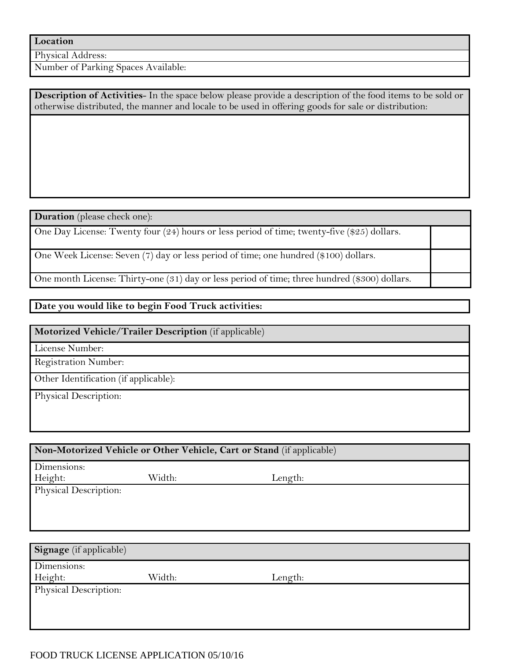#### **Location**

Physical Address:

Number of Parking Spaces Available:

**Description of Activities**- In the space below please provide a description of the food items to be sold or otherwise distributed, the manner and locale to be used in offering goods for sale or distribution:

#### **Duration** (please check one):

One Day License: Twenty four (24) hours or less period of time; twenty-five (\$25) dollars.

One Week License: Seven (7) day or less period of time; one hundred (\$100) dollars.

One month License: Thirty-one (31) day or less period of time; three hundred (\$300) dollars.

### **Date you would like to begin Food Truck activities:**

### **Motorized Vehicle/Trailer Description** (if applicable)

License Number:

Registration Number:

Other Identification (if applicable):

Physical Description:

| Non-Motorized Vehicle or Other Vehicle, Cart or Stand (if applicable) |        |         |  |  |
|-----------------------------------------------------------------------|--------|---------|--|--|
| Dimensions:                                                           |        |         |  |  |
| Height:                                                               | Width: | Length: |  |  |
| Physical Description:                                                 |        |         |  |  |
|                                                                       |        |         |  |  |
|                                                                       |        |         |  |  |
|                                                                       |        |         |  |  |
|                                                                       |        |         |  |  |
| Signage (if applicable)                                               |        |         |  |  |
| Dimensions:                                                           |        |         |  |  |
| Height:                                                               | Width: | Length: |  |  |
| Physical Description:                                                 |        |         |  |  |
|                                                                       |        |         |  |  |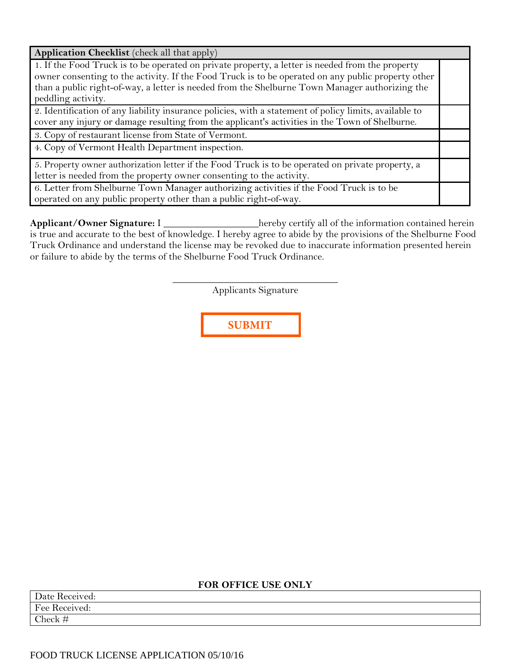**Application Checklist** (check all that apply)

1. If the Food Truck is to be operated on private property, a letter is needed from the property owner consenting to the activity. If the Food Truck is to be operated on any public property other than a public right-of-way, a letter is needed from the Shelburne Town Manager authorizing the peddling activity.

2. Identification of any liability insurance policies, with a statement of policy limits, available to cover any injury or damage resulting from the applicant's activities in the Town of Shelburne.

3. Copy of restaurant license from State of Vermont.

4. Copy of Vermont Health Department inspection.

5. Property owner authorization letter if the Food Truck is to be operated on private property, a letter is needed from the property owner consenting to the activity.

6. Letter from Shelburne Town Manager authorizing activities if the Food Truck is to be operated on any public property other than a public right-of-way.

**Applicant/Owner Signature: I \_\_\_\_\_\_\_\_\_\_\_\_\_\_\_\_\_\_\_\_**hereby certify all of the information contained herein is true and accurate to the best of knowledge. I hereby agree to abide by the provisions of the Shelburne Food Truck Ordinance and understand the license may be revoked due to inaccurate information presented herein or failure to abide by the terms of the Shelburne Food Truck Ordinance.

> \_\_\_\_\_\_\_\_\_\_\_\_\_\_\_\_\_\_\_\_\_\_\_\_\_\_\_\_\_\_\_\_\_ Applicants Signature

> > **SUBMIT**

#### **FOR OFFICE USE ONLY**

| Date Received: |  |
|----------------|--|
| Fee Received:  |  |
| Check #        |  |